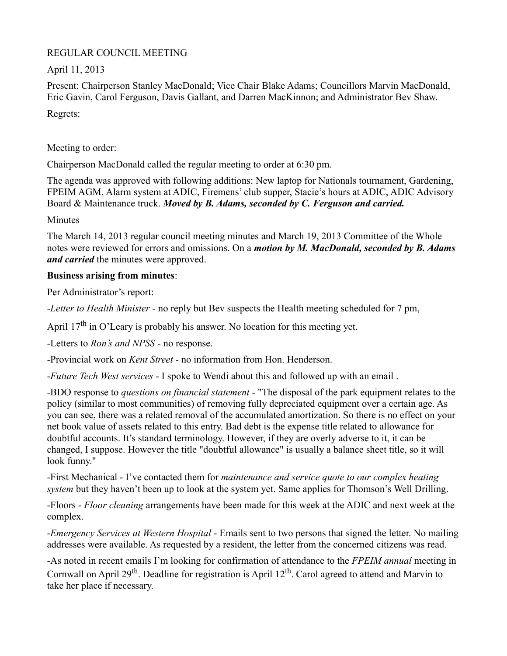## REGULAR COUNCIL MEETING

April 11, 2013

Present: Chairperson Stanley MacDonald; Vice Chair Blake Adams; Councillors Marvin MacDonald, Eric Gavin, Carol Ferguson, Davis Gallant, and Darren MacKinnon; and Administrator Bev Shaw. Regrets:

Meeting to order:

Chairperson MacDonald called the regular meeting to order at 6:30 pm.

The agenda was approved with following additions: New laptop for Nationals tournament, Gardening, FPEIM AGM, Alarm system at ADIC, Firemens' club supper, Stacie's hours at ADIC, ADIC Advisory Board & Maintenance truck. *Moved by B. Adams, seconded by C. Ferguson and carried.*

**Minutes** 

The March 14, 2013 regular council meeting minutes and March 19, 2013 Committee of the Whole notes were reviewed for errors and omissions. On a *motion by M. MacDonald, seconded by B. Adams and carried* the minutes were approved.

## **Business arising from minutes**:

Per Administrator's report:

-*Letter to Health Minister* - no reply but Bev suspects the Health meeting scheduled for 7 pm,

April 17<sup>th</sup> in O'Leary is probably his answer. No location for this meeting yet.

-Letters to *Ron's and NPSS* - no response.

-Provincial work on *Kent Street* - no information from Hon. Henderson.

-*Future Tech West services* - I spoke to Wendi about this and followed up with an email .

-BDO response to *questions on financial statement* - "The disposal of the park equipment relates to the policy (similar to most communities) of removing fully depreciated equipment over a certain age. As you can see, there was a related removal of the accumulated amortization. So there is no effect on your net book value of assets related to this entry. Bad debt is the expense title related to allowance for doubtful accounts. It's standard terminology. However, if they are overly adverse to it, it can be changed, I suppose. However the title "doubtful allowance" is usually a balance sheet title, so it will look funny."

-First Mechanical - I've contacted them for *maintenance and service quote to our complex heating system* but they haven't been up to look at the system yet. Same applies for Thomson's Well Drilling.

-Floors - *Floor cleaning* arrangements have been made for this week at the ADIC and next week at the complex.

-*Emergency Services at Western Hospital* - Emails sent to two persons that signed the letter. No mailing addresses were available. As requested by a resident, the letter from the concerned citizens was read.

-As noted in recent emails I'm looking for confirmation of attendance to the *FPEIM annual* meeting in Cornwall on April 29<sup>th</sup>. Deadline for registration is April  $12<sup>th</sup>$ . Carol agreed to attend and Marvin to take her place if necessary.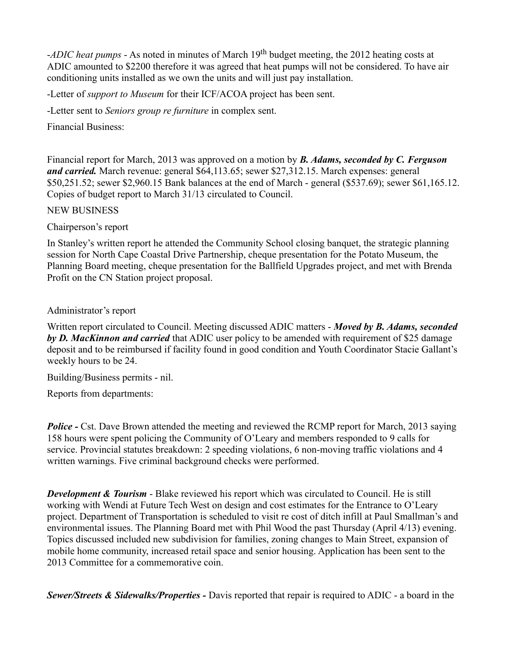-*ADIC heat pumps* - As noted in minutes of March 19<sup>th</sup> budget meeting, the 2012 heating costs at ADIC amounted to \$2200 therefore it was agreed that heat pumps will not be considered. To have air conditioning units installed as we own the units and will just pay installation.

-Letter of *support to Museum* for their ICF/ACOA project has been sent.

-Letter sent to *Seniors group re furniture* in complex sent.

Financial Business:

Financial report for March, 2013 was approved on a motion by *B. Adams, seconded by C. Ferguson and carried.* March revenue: general \$64,113.65; sewer \$27,312.15. March expenses: general \$50,251.52; sewer \$2,960.15 Bank balances at the end of March - general (\$537.69); sewer \$61,165.12. Copies of budget report to March 31/13 circulated to Council.

NEW BUSINESS

Chairperson's report

In Stanley's written report he attended the Community School closing banquet, the strategic planning session for North Cape Coastal Drive Partnership, cheque presentation for the Potato Museum, the Planning Board meeting, cheque presentation for the Ballfield Upgrades project, and met with Brenda Profit on the CN Station project proposal.

Administrator's report

Written report circulated to Council. Meeting discussed ADIC matters - *Moved by B. Adams, seconded by D. MacKinnon and carried* that ADIC user policy to be amended with requirement of \$25 damage deposit and to be reimbursed if facility found in good condition and Youth Coordinator Stacie Gallant's weekly hours to be 24.

Building/Business permits - nil.

Reports from departments:

*Police -* Cst. Dave Brown attended the meeting and reviewed the RCMP report for March, 2013 saying 158 hours were spent policing the Community of O'Leary and members responded to 9 calls for service. Provincial statutes breakdown: 2 speeding violations, 6 non-moving traffic violations and 4 written warnings. Five criminal background checks were performed.

**Development & Tourism** - Blake reviewed his report which was circulated to Council. He is still working with Wendi at Future Tech West on design and cost estimates for the Entrance to O'Leary project. Department of Transportation is scheduled to visit re cost of ditch infill at Paul Smallman's and environmental issues. The Planning Board met with Phil Wood the past Thursday (April 4/13) evening. Topics discussed included new subdivision for families, zoning changes to Main Street, expansion of mobile home community, increased retail space and senior housing. Application has been sent to the 2013 Committee for a commemorative coin.

*Sewer/Streets & Sidewalks/Properties -* Davis reported that repair is required to ADIC - a board in the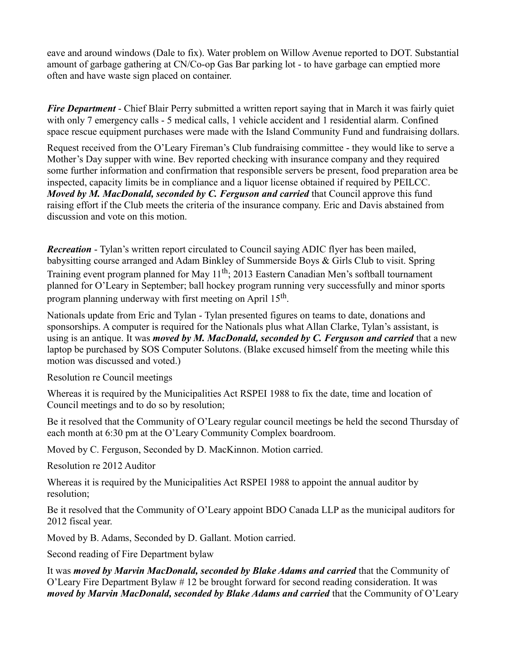eave and around windows (Dale to fix). Water problem on Willow Avenue reported to DOT. Substantial amount of garbage gathering at CN/Co-op Gas Bar parking lot - to have garbage can emptied more often and have waste sign placed on container.

*Fire Department* - Chief Blair Perry submitted a written report saying that in March it was fairly quiet with only 7 emergency calls - 5 medical calls, 1 vehicle accident and 1 residential alarm. Confined space rescue equipment purchases were made with the Island Community Fund and fundraising dollars.

Request received from the O'Leary Fireman's Club fundraising committee - they would like to serve a Mother's Day supper with wine. Bev reported checking with insurance company and they required some further information and confirmation that responsible servers be present, food preparation area be inspected, capacity limits be in compliance and a liquor license obtained if required by PEILCC. *Moved by M. MacDonald, seconded by C. Ferguson and carried that Council approve this fund* raising effort if the Club meets the criteria of the insurance company. Eric and Davis abstained from discussion and vote on this motion.

*Recreation* - Tylan's written report circulated to Council saying ADIC flyer has been mailed, babysitting course arranged and Adam Binkley of Summerside Boys & Girls Club to visit. Spring Training event program planned for May 11<sup>th</sup>; 2013 Eastern Canadian Men's softball tournament planned for O'Leary in September; ball hockey program running very successfully and minor sports program planning underway with first meeting on April 15<sup>th</sup>.

Nationals update from Eric and Tylan - Tylan presented figures on teams to date, donations and sponsorships. A computer is required for the Nationals plus what Allan Clarke, Tylan's assistant, is using is an antique. It was *moved by M. MacDonald, seconded by C. Ferguson and carried* that a new laptop be purchased by SOS Computer Solutons. (Blake excused himself from the meeting while this motion was discussed and voted.)

Resolution re Council meetings

Whereas it is required by the Municipalities Act RSPEI 1988 to fix the date, time and location of Council meetings and to do so by resolution;

Be it resolved that the Community of O'Leary regular council meetings be held the second Thursday of each month at 6:30 pm at the O'Leary Community Complex boardroom.

Moved by C. Ferguson, Seconded by D. MacKinnon. Motion carried.

Resolution re 2012 Auditor

Whereas it is required by the Municipalities Act RSPEI 1988 to appoint the annual auditor by resolution;

Be it resolved that the Community of O'Leary appoint BDO Canada LLP as the municipal auditors for 2012 fiscal year.

Moved by B. Adams, Seconded by D. Gallant. Motion carried.

Second reading of Fire Department bylaw

It was *moved by Marvin MacDonald, seconded by Blake Adams and carried* that the Community of O'Leary Fire Department Bylaw # 12 be brought forward for second reading consideration. It was *moved by Marvin MacDonald, seconded by Blake Adams and carried that the Community of O'Leary*